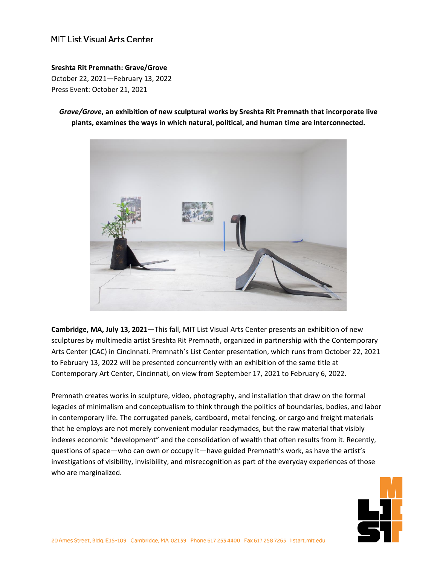### MIT List Visual Arts Center

#### **Sreshta Rit Premnath: Grave/Grove**

October 22, 2021—February 13, 2022 Press Event: October 21, 2021

*Grave/Grove***, an exhibition of new sculptural works by Sreshta Rit Premnath that incorporate live plants, examines the ways in which natural, political, and human time are interconnected.**



**Cambridge, MA, July 13, 2021**—This fall, MIT List Visual Arts Center presents an exhibition of new sculptures by multimedia artist Sreshta Rit Premnath, organized in partnership with the Contemporary Arts Center (CAC) in Cincinnati. Premnath's List Center presentation, which runs from October 22, 2021 to February 13, 2022 will be presented concurrently with an exhibition of the same title at Contemporary Art Center, Cincinnati, on view from September 17, 2021 to February 6, 2022.

Premnath creates works in sculpture, video, photography, and installation that draw on the formal legacies of minimalism and conceptualism to think through the politics of boundaries, bodies, and labor in contemporary life. The corrugated panels, cardboard, metal fencing, or cargo and freight materials that he employs are not merely convenient modular readymades, but the raw material that visibly indexes economic "development" and the consolidation of wealth that often results from it. Recently, questions of space—who can own or occupy it—have guided Premnath's work, as have the artist's investigations of visibility, invisibility, and misrecognition as part of the everyday experiences of those who are marginalized.

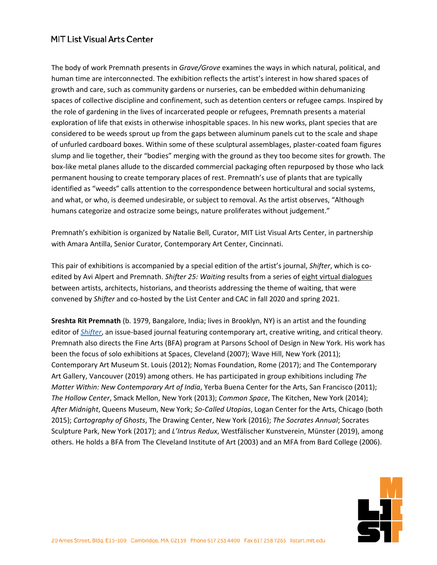## **MIT List Visual Arts Center**

The body of work Premnath presents in *Grave/Grove* examines the ways in which natural, political, and human time are interconnected. The exhibition reflects the artist's interest in how shared spaces of growth and care, such as community gardens or nurseries, can be embedded within dehumanizing spaces of collective discipline and confinement, such as detention centers or refugee camps. Inspired by the role of gardening in the lives of incarcerated people or refugees, Premnath presents a material exploration of life that exists in otherwise inhospitable spaces. In his new works, plant species that are considered to be weeds sprout up from the gaps between aluminum panels cut to the scale and shape of unfurled cardboard boxes. Within some of these sculptural assemblages, plaster-coated foam figures slump and lie together, their "bodies" merging with the ground as they too become sites for growth. The box-like metal planes allude to the discarded commercial packaging often repurposed by those who lack permanent housing to create temporary places of rest. Premnath's use of plants that are typically identified as "weeds" calls attention to the correspondence between horticultural and social systems, and what, or who, is deemed undesirable, or subject to removal. As the artist observes, "Although humans categorize and ostracize some beings, nature proliferates without judgement."

Premnath's exhibition is organized by Natalie Bell, Curator, MIT List Visual Arts Center, in partnership with Amara Antilla, Senior Curator, Contemporary Art Center, Cincinnati.

This pair of exhibitions is accompanied by a special edition of the artist's journal, *Shifter*, which is coedited by Avi Alpert and Premnath. *Shifter 25: Waiting* results from a series of eight virtual dialogues between artists, architects, historians, and theorists addressing the theme of waiting, that were convened by *Shifter* and co-hosted by the List Center and CAC in fall 2020 and spring 2021.

**Sreshta Rit Premnath** (b. 1979, Bangalore, India; lives in Brooklyn, NY) is an artist and the founding editor of *[Shifter](http://www.shifter-magazine.com/)*, an issue-based journal featuring contemporary art, creative writing, and critical theory. Premnath also directs the Fine Arts (BFA) program at Parsons School of Design in New York. His work has been the focus of solo exhibitions at Spaces, Cleveland (2007); Wave Hill, New York (2011); Contemporary Art Museum St. Louis (2012); Nomas Foundation, Rome (2017); and The Contemporary Art Gallery, Vancouver (2019) among others. He has participated in group exhibitions including *The Matter Within: New Contemporary Art of India*, Yerba Buena Center for the Arts, San Francisco (2011); *The Hollow Center*, Smack Mellon, New York (2013); *Common Space*, The Kitchen, New York (2014); *After Midnight*, Queens Museum, New York; *So-Called Utopias*, Logan Center for the Arts, Chicago (both 2015); *Cartography of Ghosts*, The Drawing Center, New York (2016); *The Socrates Annual*; Socrates Sculpture Park, New York (2017); and *L'Intrus Redux*, Westfälischer Kunstverein, Münster (2019), among others. He holds a BFA from The Cleveland Institute of Art (2003) and an MFA from Bard College (2006).